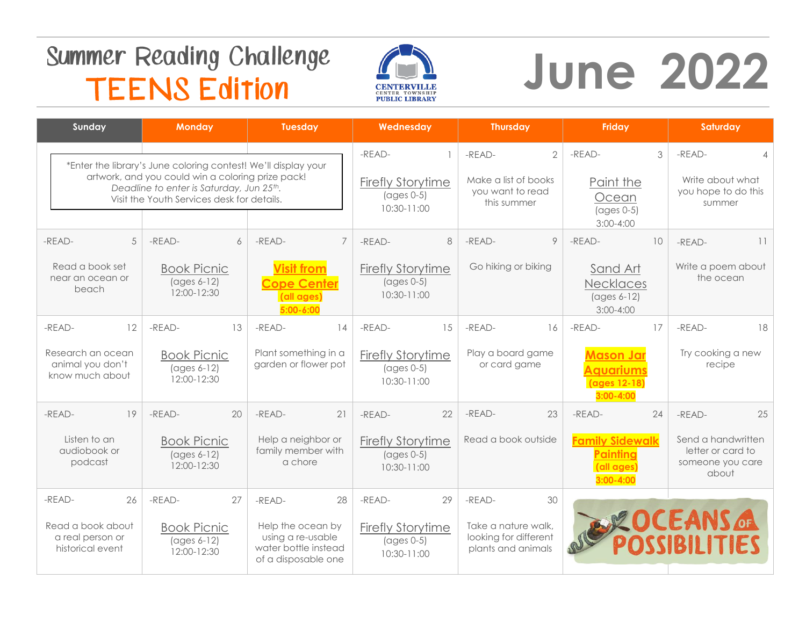## **Summer Reading Challenge TEENS Edition**



# **June 2022**

| Sunday                                                                      | <b>Monday</b>                                                                                                                                                                                                 | <b>Tuesday</b>                                                                                        | Wednesday                                                                                        | <b>Thursday</b>                                                                       | Friday                                                                                                    | Saturday                                                                             |
|-----------------------------------------------------------------------------|---------------------------------------------------------------------------------------------------------------------------------------------------------------------------------------------------------------|-------------------------------------------------------------------------------------------------------|--------------------------------------------------------------------------------------------------|---------------------------------------------------------------------------------------|-----------------------------------------------------------------------------------------------------------|--------------------------------------------------------------------------------------|
|                                                                             | *Enter the library's June coloring contest! We'll display your<br>artwork, and you could win a coloring prize pack!<br>Deadline to enter is Saturday, Jun 25th.<br>Visit the Youth Services desk for details. |                                                                                                       | -READ-<br><b>Firefly Storytime</b><br>$\left( \text{ages } 0-5 \right)$<br>10:30-11:00           | $-READ-$<br>$\overline{2}$<br>Make a list of books<br>you want to read<br>this summer | $-READ-$<br>3<br>Paint the<br>Ocean<br>$\left( \text{ages } 0-5 \right)$<br>$3:00 - 4:00$                 | -READ-<br>Δ<br>Write about what<br>you hope to do this<br>summer                     |
| -READ-<br>5<br>Read a book set<br>near an ocean or<br>beach                 | -READ-<br>6<br><b>Book Picnic</b><br>$\left( \text{ages } 6-12 \right)$<br>12:00-12:30                                                                                                                        | -READ-<br>$\overline{7}$<br><b>Visit from</b><br><b>Cope Center</b><br>(all ages)<br>$5:00 - 6:00$    | -READ-<br>8<br><b>Firefly Storytime</b><br>$\left( \text{ages } 0-5 \right)$<br>10:30-11:00      | -READ-<br>9<br>Go hiking or biking                                                    | -READ-<br>10 <sup>1</sup><br>Sand Art<br>Necklaces<br>$\left( \text{ages } 6-12 \right)$<br>$3:00 - 4:00$ | 11<br>-READ-<br>Write a poem about<br>the ocean                                      |
| 12<br>-READ-<br>Research an ocean<br>animal you don't<br>know much about    | -READ-<br>13<br><b>Book Picnic</b><br>$(\text{ages } 6-12)$<br>12:00-12:30                                                                                                                                    | -READ-<br>14<br>Plant something in a<br>garden or flower pot                                          | 15<br>-READ-<br><b>Firefly Storytime</b><br>$\left( \text{ages } 0-5 \right)$<br>10:30-11:00     | -READ-<br>16<br>Play a board game<br>or card game                                     | 17<br>-READ-<br><b>Mason Jar</b><br><b>Aquariums</b><br>(ages 12-18)<br>$3:00 - 4:00$                     | 18<br>-READ-<br>Try cooking a new<br>recipe                                          |
| 19<br>-READ-<br>Listen to an<br>audiobook or<br>podcast                     | -READ-<br>20<br><b>Book Picnic</b><br>$(\text{ages } 6-12)$<br>12:00-12:30                                                                                                                                    | -READ-<br>21<br>Help a neighbor or<br>family member with<br>a chore                                   | 22<br>-READ-<br><b>Firefly Storytime</b><br>$\left( \text{ages } 0-5 \right)$<br>$10:30 - 11:00$ | $-READ-$<br>23<br>Read a book outside                                                 | -READ-<br>24<br><b>Family Sidewalk</b><br>Painting<br>(all ages)<br>$3:00 - 4:00$                         | 25<br>-READ-<br>Send a handwritten<br>letter or card to<br>someone you care<br>about |
| $-READ-$<br>26<br>Read a book about<br>a real person or<br>historical event | -READ-<br>27<br><b>Book Picnic</b><br>$(\text{ages } 6-12)$<br>12:00-12:30                                                                                                                                    | 28<br>-READ-<br>Help the ocean by<br>using a re-usable<br>water bottle instead<br>of a disposable one | -READ-<br>29<br><b>Firefly Storytime</b><br>$\left( \text{ages } 0-5 \right)$<br>10:30-11:00     | -READ-<br>30<br>Take a nature walk,<br>looking for different<br>plants and animals    |                                                                                                           | ROCEANSA<br><b>POSSIBILITIES</b>                                                     |